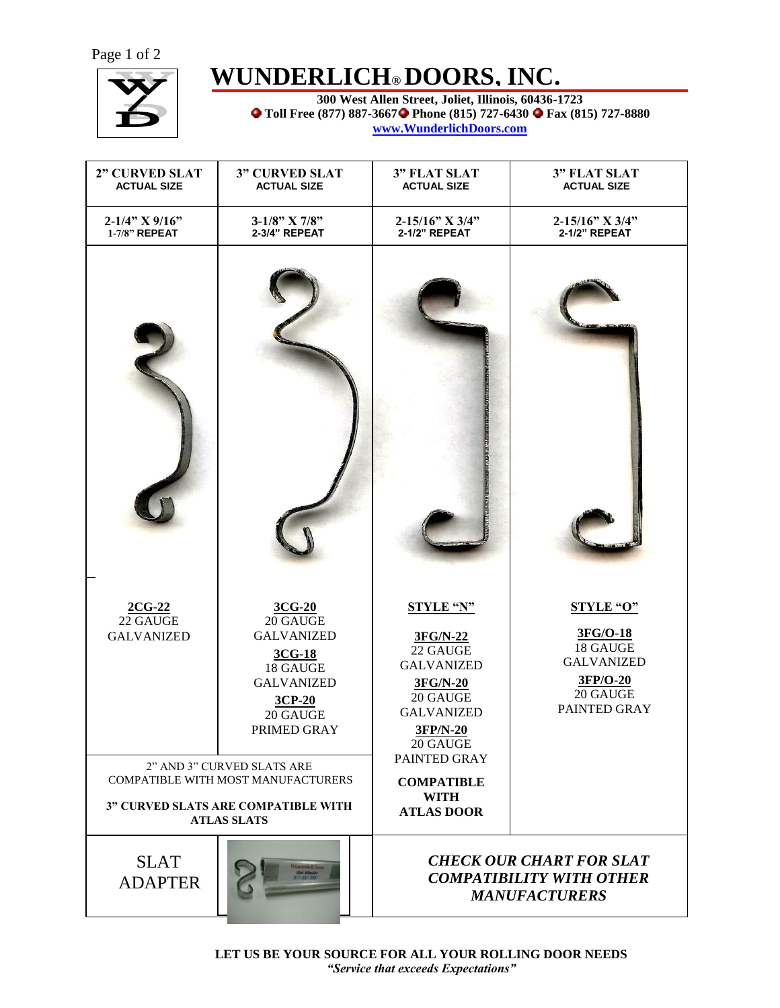Page 1 of 2



# **WUNDERLICH® DOORS, INC.**

**300 West Allen Street, Joliet, Illinois, 60436-1723 Toll Free (877) 887-3667 Phone (815) 727-6430 Fax (815) 727-8880 [www.WunderlichDoors.com](http://www.wunderlichdoors.com/)**

| 2" CURVED SLAT<br><b>ACTUAL SIZE</b>                                                                                          | <b>3" CURVED SLAT</b><br><b>ACTUAL SIZE</b>                                                                             | 3" FLAT SLAT<br><b>ACTUAL SIZE</b>                                                                                                 | 3" FLAT SLAT<br><b>ACTUAL SIZE</b>                                                                    |  |
|-------------------------------------------------------------------------------------------------------------------------------|-------------------------------------------------------------------------------------------------------------------------|------------------------------------------------------------------------------------------------------------------------------------|-------------------------------------------------------------------------------------------------------|--|
| $2-1/4$ " X $9/16$ "<br>1-7/8" REPEAT                                                                                         | $3-1/8$ " X 7/8"<br>2-3/4" REPEAT                                                                                       | $2-15/16$ " X $3/4$ "<br>2-1/2" REPEAT                                                                                             | $2-15/16$ " X 3/4"<br>2-1/2" REPEAT                                                                   |  |
|                                                                                                                               |                                                                                                                         |                                                                                                                                    |                                                                                                       |  |
| $2CG-22$<br>22 GAUGE<br><b>GALVANIZED</b>                                                                                     | 3CG-20<br>20 GAUGE<br><b>GALVANIZED</b><br>3CG-18<br>18 GAUGE<br><b>GALVANIZED</b><br>3CP-20<br>20 GAUGE<br>PRIMED GRAY | <b>STYLE "N"</b><br>3FG/N-22<br>22 GAUGE<br><b>GALVANIZED</b><br>3FG/N-20<br>20 GAUGE<br><b>GALVANIZED</b><br>3FP/N-20<br>20 GAUGE | <b>STYLE "O"</b><br>3FG/O-18<br>18 GAUGE<br><b>GALVANIZED</b><br>3FP/O-20<br>20 GAUGE<br>PAINTED GRAY |  |
| 2" AND 3" CURVED SLATS ARE<br>COMPATIBLE WITH MOST MANUFACTURERS<br>3" CURVED SLATS ARE COMPATIBLE WITH<br><b>ATLAS SLATS</b> |                                                                                                                         | PAINTED GRAY<br><b>COMPATIBLE</b><br><b>WITH</b><br><b>ATLAS DOOR</b>                                                              |                                                                                                       |  |
| <b>SLAT</b><br><b>ADAPTER</b>                                                                                                 |                                                                                                                         | <b>CHECK OUR CHART FOR SLAT</b><br><b>COMPATIBILITY WITH OTHER</b><br><b>MANUFACTURERS</b>                                         |                                                                                                       |  |

**LET US BE YOUR SOURCE FOR ALL YOUR ROLLING DOOR NEEDS** *"Service that exceeds Expectations"*